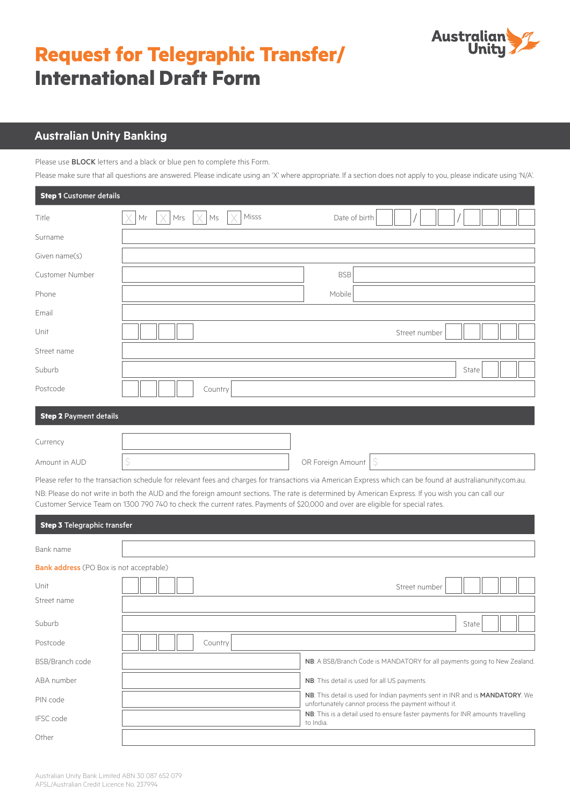

# **Request for Telegraphic Transfer/ International Draft Form**

## **Australian Unity Banking**

**Step 1** Customer details

Please use BLOCK letters and a black or blue pen to complete this Form.

Please make sure that all questions are answered. Please indicate using an 'X' where appropriate. If a section does not apply to you, please indicate using 'N/A'.

| <b>Step I</b> Customer details |                                              |                     |
|--------------------------------|----------------------------------------------|---------------------|
| Title                          | Misss<br>Mrs<br>$\mathsf{M}\mathsf{s}$<br>Mr | Date of birth       |
| Surname                        |                                              |                     |
| Given name(s)                  |                                              |                     |
| Customer Number                |                                              | <b>BSB</b>          |
| Phone                          |                                              | Mobile              |
| Email                          |                                              |                     |
| Unit                           |                                              | Street number       |
| Street name                    |                                              |                     |
| Suburb                         |                                              | State               |
| Postcode                       | Country                                      |                     |
| <b>Step 2 Payment details</b>  |                                              |                     |
| Currency                       |                                              |                     |
| Amount in AUD                  | \$                                           | OR Foreign Amount S |

Please refer to the transaction schedule for relevant fees and charges for transactions via American Express which can be found at australianunity.com.au. NB: Please do not write in both the AUD and the foreign amount sections. The rate is determined by American Express. If you wish you can call our Customer Service Team on 1300 790 740 to check the current rates. Payments of \$20,000 and over are eligible for special rates.

| <b>Step 3 Telegraphic transfer</b>             |         |           |                                                                                                                                      |               |       |  |
|------------------------------------------------|---------|-----------|--------------------------------------------------------------------------------------------------------------------------------------|---------------|-------|--|
| Bank name                                      |         |           |                                                                                                                                      |               |       |  |
| <b>Bank address</b> (PO Box is not acceptable) |         |           |                                                                                                                                      |               |       |  |
| Unit                                           |         |           |                                                                                                                                      | Street number |       |  |
| Street name                                    |         |           |                                                                                                                                      |               |       |  |
| Suburb                                         |         |           |                                                                                                                                      |               | State |  |
| Postcode                                       | Country |           |                                                                                                                                      |               |       |  |
| BSB/Branch code                                |         |           | NB: A BSB/Branch Code is MANDATORY for all payments going to New Zealand.                                                            |               |       |  |
| ABA number                                     |         |           | NB: This detail is used for all US payments.                                                                                         |               |       |  |
| PIN code                                       |         |           | NB: This detail is used for Indian payments sent in INR and is MANDATORY. We<br>unfortunately cannot process the payment without it. |               |       |  |
| <b>IFSC</b> code                               |         | to India. | NB: This is a detail used to ensure faster payments for INR amounts travelling                                                       |               |       |  |
| Other                                          |         |           |                                                                                                                                      |               |       |  |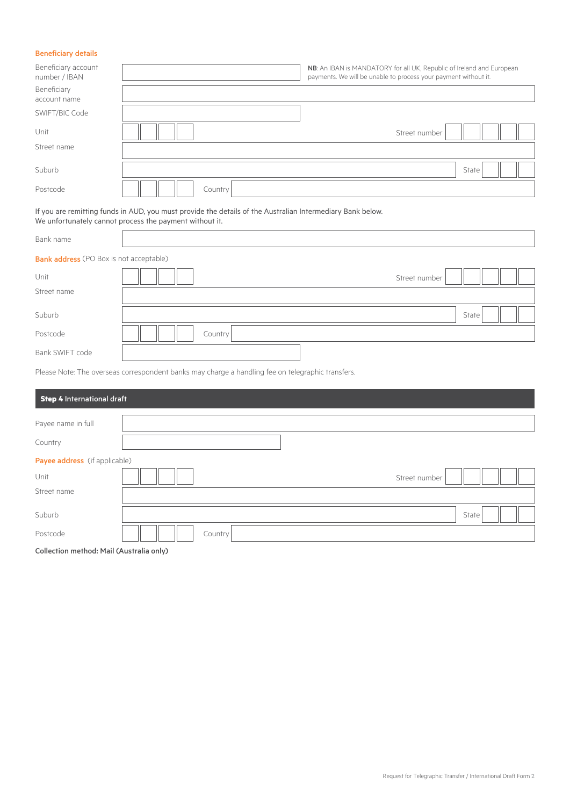#### Beneficiary details

| Beneficiary account<br>number / IBAN |         | NB: An IBAN is MANDATORY for all UK, Republic of Ireland and European<br>payments. We will be unable to process your payment without it. |
|--------------------------------------|---------|------------------------------------------------------------------------------------------------------------------------------------------|
| Beneficiary<br>account name          |         |                                                                                                                                          |
| SWIFT/BIC Code                       |         |                                                                                                                                          |
| Unit                                 |         | Street number                                                                                                                            |
| Street name                          |         |                                                                                                                                          |
| Suburb                               |         | State                                                                                                                                    |
| Postcode                             | Country |                                                                                                                                          |

If you are remitting funds in AUD, you must provide the details of the Australian Intermediary Bank below. We unfortunately cannot process the payment without it.

| Bank name                                      |         |               |       |  |
|------------------------------------------------|---------|---------------|-------|--|
| <b>Bank address</b> (PO Box is not acceptable) |         |               |       |  |
| Unit                                           |         | Street number |       |  |
| Street name                                    |         |               |       |  |
| Suburb                                         |         |               | State |  |
| Postcode                                       | Country |               |       |  |
| Bank SWIFT code                                |         |               |       |  |

Please Note: The overseas correspondent banks may charge a handling fee on telegraphic transfers.

| <b>Step 4 International draft</b>                    |         |               |  |
|------------------------------------------------------|---------|---------------|--|
| Payee name in full                                   |         |               |  |
| Country                                              |         |               |  |
| Payee address (if applicable)<br>Unit<br>Street name |         | Street number |  |
| Suburb                                               |         | State         |  |
| Postcode                                             | Country |               |  |
| Collection method: Mail (Australia only)             |         |               |  |

Collection method: Mail (Australia only)